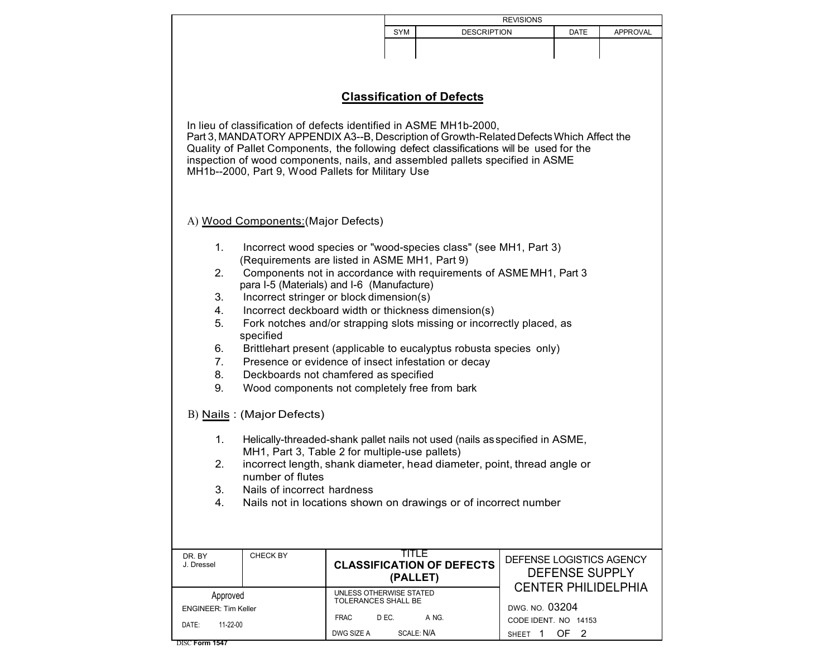|                                                                                          |                                                                             | <b>REVISIONS</b>                               |                                  |                            |      |                            |
|------------------------------------------------------------------------------------------|-----------------------------------------------------------------------------|------------------------------------------------|----------------------------------|----------------------------|------|----------------------------|
|                                                                                          |                                                                             | SYM                                            | <b>DESCRIPTION</b>               |                            | DATE | <b>APPROVAL</b>            |
|                                                                                          |                                                                             |                                                |                                  |                            |      |                            |
|                                                                                          |                                                                             |                                                |                                  |                            |      |                            |
|                                                                                          |                                                                             |                                                |                                  |                            |      |                            |
|                                                                                          |                                                                             |                                                |                                  |                            |      |                            |
| <b>Classification of Defects</b>                                                         |                                                                             |                                                |                                  |                            |      |                            |
|                                                                                          |                                                                             |                                                |                                  |                            |      |                            |
| In lieu of classification of defects identified in ASME MH1b-2000,                       |                                                                             |                                                |                                  |                            |      |                            |
| Part 3, MANDATORY APPENDIX A3--B, Description of Growth-Related Defects Which Affect the |                                                                             |                                                |                                  |                            |      |                            |
| Quality of Pallet Components, the following defect classifications will be used for the  |                                                                             |                                                |                                  |                            |      |                            |
| inspection of wood components, nails, and assembled pallets specified in ASME            |                                                                             |                                                |                                  |                            |      |                            |
| MH1b--2000, Part 9, Wood Pallets for Military Use                                        |                                                                             |                                                |                                  |                            |      |                            |
|                                                                                          |                                                                             |                                                |                                  |                            |      |                            |
|                                                                                          |                                                                             |                                                |                                  |                            |      |                            |
| A) Wood Components: (Major Defects)                                                      |                                                                             |                                                |                                  |                            |      |                            |
|                                                                                          |                                                                             |                                                |                                  |                            |      |                            |
| 1.                                                                                       | Incorrect wood species or "wood-species class" (see MH1, Part 3)            |                                                |                                  |                            |      |                            |
|                                                                                          | (Requirements are listed in ASME MH1, Part 9)                               |                                                |                                  |                            |      |                            |
| 2.                                                                                       | Components not in accordance with requirements of ASME MH1, Part 3          |                                                |                                  |                            |      |                            |
|                                                                                          | para I-5 (Materials) and I-6 (Manufacture)                                  |                                                |                                  |                            |      |                            |
| 3.<br>Incorrect stringer or block dimension(s)                                           |                                                                             |                                                |                                  |                            |      |                            |
| 4.                                                                                       | Incorrect deckboard width or thickness dimension(s)                         |                                                |                                  |                            |      |                            |
| 5.                                                                                       | Fork notches and/or strapping slots missing or incorrectly placed, as       |                                                |                                  |                            |      |                            |
| specified                                                                                |                                                                             |                                                |                                  |                            |      |                            |
| 6.<br>Brittlehart present (applicable to eucalyptus robusta species only)                |                                                                             |                                                |                                  |                            |      |                            |
| 7 <sub>1</sub>                                                                           | Presence or evidence of insect infestation or decay                         |                                                |                                  |                            |      |                            |
| 8.                                                                                       | Deckboards not chamfered as specified                                       |                                                |                                  |                            |      |                            |
| 9.                                                                                       | Wood components not completely free from bark                               |                                                |                                  |                            |      |                            |
|                                                                                          |                                                                             |                                                |                                  |                            |      |                            |
| B) Nails: (Major Defects)                                                                |                                                                             |                                                |                                  |                            |      |                            |
|                                                                                          |                                                                             |                                                |                                  |                            |      |                            |
| 1.                                                                                       | Helically-threaded-shank pallet nails not used (nails as specified in ASME, |                                                |                                  |                            |      |                            |
|                                                                                          | MH1, Part 3, Table 2 for multiple-use pallets)                              |                                                |                                  |                            |      |                            |
| 2.                                                                                       | incorrect length, shank diameter, head diameter, point, thread angle or     |                                                |                                  |                            |      |                            |
|                                                                                          | number of flutes                                                            |                                                |                                  |                            |      |                            |
| З.                                                                                       | Nails of incorrect hardness                                                 |                                                |                                  |                            |      |                            |
| 4.                                                                                       | Nails not in locations shown on drawings or of incorrect number             |                                                |                                  |                            |      |                            |
|                                                                                          |                                                                             |                                                |                                  |                            |      |                            |
|                                                                                          |                                                                             |                                                |                                  |                            |      |                            |
|                                                                                          |                                                                             | TITLE                                          |                                  |                            |      |                            |
| CHECK BY<br>DR. BY<br>J. Dressel                                                         |                                                                             |                                                | <b>CLASSIFICATION OF DEFECTS</b> | DEFENSE LOGISTICS AGENCY   |      |                            |
|                                                                                          |                                                                             |                                                | (PALLET)                         | <b>DEFENSE SUPPLY</b>      |      |                            |
|                                                                                          |                                                                             |                                                |                                  |                            |      | <b>CENTER PHILIDELPHIA</b> |
| Approved                                                                                 |                                                                             | UNLESS OTHERWISE STATED<br>TOLERANCES SHALL BE |                                  | DWG. NO. 03204             |      |                            |
| <b>ENGINEER: Tim Keller</b>                                                              | <b>FRAC</b>                                                                 | D EC.                                          | A NG.                            | CODE IDENT. NO 14153       |      |                            |
| 11-22-00<br>DATE:                                                                        | DWG SIZE A                                                                  |                                                | SCALE: N/A                       | SHEET 1<br>OF <sub>2</sub> |      |                            |
| DISC Form 1547                                                                           |                                                                             |                                                |                                  |                            |      |                            |